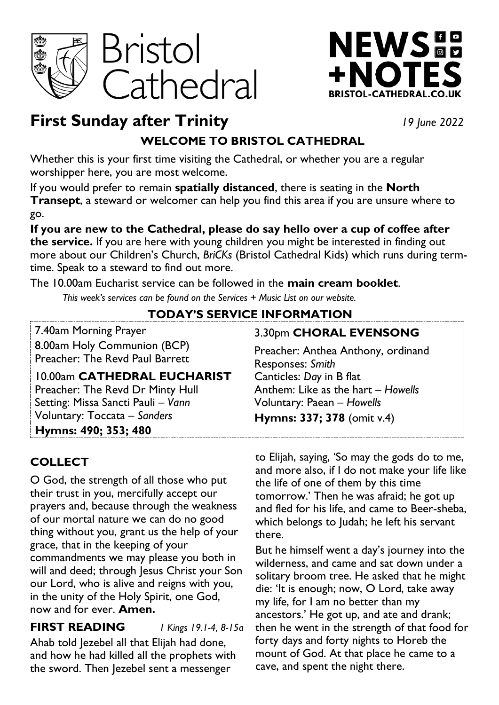



# **First Sunday after Trinity** *19 June 2022*

# **WELCOME TO BRISTOL CATHEDRAL**

Whether this is your first time visiting the Cathedral, or whether you are a regular worshipper here, you are most welcome.

If you would prefer to remain **spatially distanced**, there is seating in the **North Transept**, a steward or welcomer can help you find this area if you are unsure where to go.

**If you are new to the Cathedral, please do say hello over a cup of coffee after the service.** If you are here with young children you might be interested in finding out more about our Children's Church, *BriCKs* (Bristol Cathedral Kids) which runs during termtime. Speak to a steward to find out more.

The 10.00am Eucharist service can be followed in the **main cream booklet**.

*This week's services can be found on the Services + Music List on our website.*

# **TODAY'S SERVICE INFORMATION**

| 7.40am Morning Prayer              | 3.30pm CHORAL EVENSONG             |
|------------------------------------|------------------------------------|
| 8.00am Holy Communion (BCP)        | Preacher: Anthea Anthony, ordinand |
| Preacher: The Revd Paul Barrett    | Responses: Smith                   |
| 10.00am CATHEDRAL EUCHARIST        | Canticles: Day in B flat           |
| Preacher: The Revd Dr Minty Hull   | Anthem: Like as the hart - Howells |
| Setting: Missa Sancti Pauli - Vann | Voluntary: Paean - Howells         |
| Voluntary: Toccata - Sanders       | Hymns: 337; 378 (omit v.4)         |
| Hymns: 490; 353; 480               |                                    |

# **COLLECT**

O God, the strength of all those who put their trust in you, mercifully accept our prayers and, because through the weakness of our mortal nature we can do no good thing without you, grant us the help of your grace, that in the keeping of your commandments we may please you both in will and deed; through Jesus Christ your Son our Lord, who is alive and reigns with you, in the unity of the Holy Spirit, one God, now and for ever. **Amen.**

# **FIRST READING** *1 Kings 19.1-4, 8-15a*

Ahab told Jezebel all that Elijah had done, and how he had killed all the prophets with the sword. Then Jezebel sent a messenger

to Elijah, saying, 'So may the gods do to me, and more also, if I do not make your life like the life of one of them by this time tomorrow.' Then he was afraid; he got up and fled for his life, and came to Beer-sheba, which belongs to Judah; he left his servant there.

But he himself went a day's journey into the wilderness, and came and sat down under a solitary broom tree. He asked that he might die: 'It is enough; now, O Lord, take away my life, for I am no better than my ancestors.' He got up, and ate and drank; then he went in the strength of that food for forty days and forty nights to Horeb the mount of God. At that place he came to a cave, and spent the night there.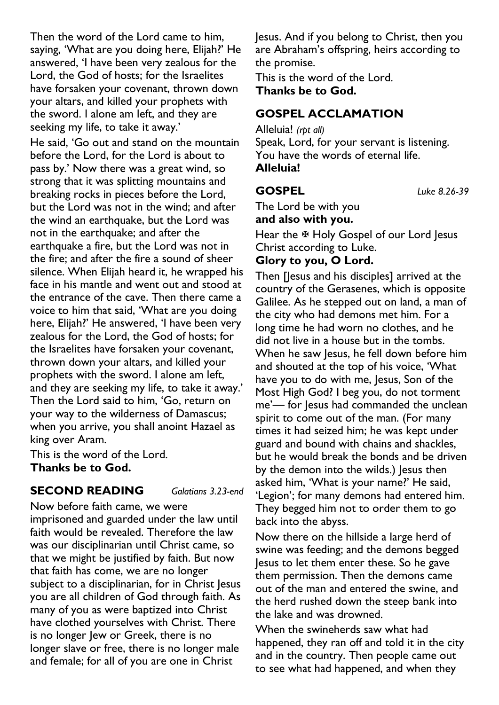Then the word of the Lord came to him, saying, 'What are you doing here, Elijah?' He answered, 'I have been very zealous for the Lord, the God of hosts; for the Israelites have forsaken your covenant, thrown down your altars, and killed your prophets with the sword. I alone am left, and they are seeking my life, to take it away.'

He said, 'Go out and stand on the mountain before the Lord, for the Lord is about to pass by.' Now there was a great wind, so strong that it was splitting mountains and breaking rocks in pieces before the Lord, but the Lord was not in the wind; and after the wind an earthquake, but the Lord was not in the earthquake; and after the earthquake a fire, but the Lord was not in the fire; and after the fire a sound of sheer silence. When Elijah heard it, he wrapped his face in his mantle and went out and stood at the entrance of the cave. Then there came a voice to him that said, 'What are you doing here, Elijah?' He answered, 'I have been very zealous for the Lord, the God of hosts; for the Israelites have forsaken your covenant, thrown down your altars, and killed your prophets with the sword. I alone am left, and they are seeking my life, to take it away.' Then the Lord said to him, 'Go, return on your way to the wilderness of Damascus; when you arrive, you shall anoint Hazael as king over Aram.

This is the word of the Lord. **Thanks be to God.**

### **SECOND READING** *Galatians 3.23-end*

Now before faith came, we were imprisoned and guarded under the law until faith would be revealed. Therefore the law was our disciplinarian until Christ came, so that we might be justified by faith. But now that faith has come, we are no longer subject to a disciplinarian, for in Christ Jesus you are all children of God through faith. As many of you as were baptized into Christ have clothed yourselves with Christ. There is no longer Jew or Greek, there is no longer slave or free, there is no longer male and female; for all of you are one in Christ

Jesus. And if you belong to Christ, then you are Abraham's offspring, heirs according to the promise.

This is the word of the Lord. **Thanks be to God.**

# **GOSPEL ACCLAMATION**

Alleluia! *(rpt all)* Speak, Lord, for your servant is listening. You have the words of eternal life. **Alleluia!** 

**GOSPEL** *Luke 8.26-39*

The Lord be with you **and also with you.**

Hear the  $\overline{\mathfrak{B}}$  Holy Gospel of our Lord Jesus Christ according to Luke.

### **Glory to you, O Lord.**

Then [Jesus and his disciples] arrived at the country of the Gerasenes, which is opposite Galilee. As he stepped out on land, a man of the city who had demons met him. For a long time he had worn no clothes, and he did not live in a house but in the tombs. When he saw Jesus, he fell down before him and shouted at the top of his voice, 'What have you to do with me, Jesus, Son of the Most High God? I beg you, do not torment me'— for Jesus had commanded the unclean spirit to come out of the man. (For many times it had seized him; he was kept under guard and bound with chains and shackles, but he would break the bonds and be driven by the demon into the wilds.) Jesus then asked him, 'What is your name?' He said, 'Legion'; for many demons had entered him. They begged him not to order them to go back into the abyss.

Now there on the hillside a large herd of swine was feeding; and the demons begged Jesus to let them enter these. So he gave them permission. Then the demons came out of the man and entered the swine, and the herd rushed down the steep bank into the lake and was drowned.

When the swineherds saw what had happened, they ran off and told it in the city and in the country. Then people came out to see what had happened, and when they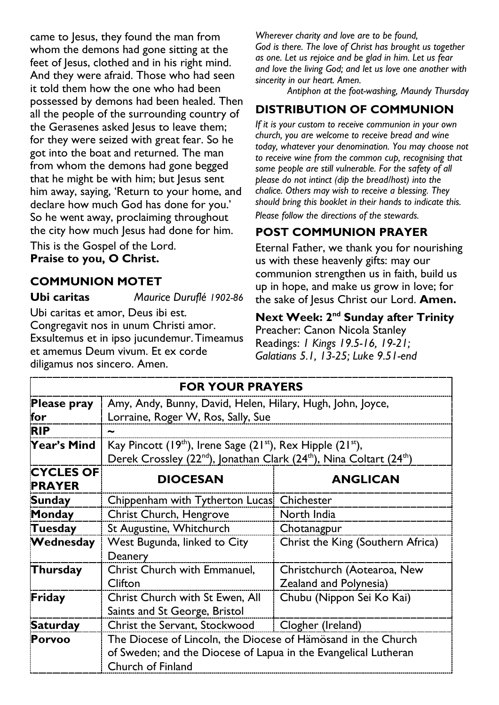came to Jesus, they found the man from whom the demons had gone sitting at the feet of Jesus, clothed and in his right mind. And they were afraid. Those who had seen it told them how the one who had been possessed by demons had been healed. Then all the people of the surrounding country of the Gerasenes asked Jesus to leave them; for they were seized with great fear. So he got into the boat and returned. The man from whom the demons had gone begged that he might be with him; but Jesus sent him away, saying, 'Return to your home, and declare how much God has done for you.' So he went away, proclaiming throughout the city how much Jesus had done for him.

This is the Gospel of the Lord. **Praise to you, O Christ.**

### **COMMUNION MOTET**

**Ubi caritas** *Maurice Duruflé 1902-86*

Ubi caritas et amor, Deus ibi est. Congregavit nos in unum Christi amor. Exsultemus et in ipso jucundemur.Timeamus et amemus Deum vivum. Et ex corde diligamus nos sincero. Amen.

*Wherever charity and love are to be found, God is there. The love of Christ has brought us together as one. Let us rejoice and be glad in him. Let us fear and love the living God; and let us love one another with sincerity in our heart. Amen.*

*Antiphon at the foot-washing, Maundy Thursday*

# **DISTRIBUTION OF COMMUNION**

*If it is your custom to receive communion in your own church, you are welcome to receive bread and wine today, whatever your denomination. You may choose not to receive wine from the common cup, recognising that some people are still vulnerable. For the safety of all please do not intinct (dip the bread/host) into the chalice. Others may wish to receive a blessing. They should bring this booklet in their hands to indicate this. Please follow the directions of the stewards.*

# **POST COMMUNION PRAYER**

Eternal Father, we thank you for nourishing us with these heavenly gifts: may our communion strengthen us in faith, build us up in hope, and make us grow in love; for the sake of Jesus Christ our Lord. **Amen.**

### **Next Week: 2<sup>nd</sup> Sunday after Trinity**

Preacher: Canon Nicola Stanley Readings: *1 Kings 19.5-16, 19-21; Galatians 5.1, 13-25; Luke 9.51-end*

| <b>FOR YOUR PRAYERS</b>           |                                                                                                                                  |                                   |
|-----------------------------------|----------------------------------------------------------------------------------------------------------------------------------|-----------------------------------|
| <b>Please pray</b>                | Amy, Andy, Bunny, David, Helen, Hilary, Hugh, John, Joyce,                                                                       |                                   |
| for                               | Lorraine, Roger W, Ros, Sally, Sue                                                                                               |                                   |
| <b>RIP</b>                        | ∼                                                                                                                                |                                   |
| Year's Mind                       | Kay Pincott (19 <sup>th</sup> ), Irene Sage (21 <sup>st</sup> ), Rex Hipple (21 <sup>st</sup> ),                                 |                                   |
|                                   | Derek Crossley (22 <sup>nd</sup> ), Jonathan Clark (24 <sup>th</sup> ), Nina Coltart (24 <sup>th</sup> )                         |                                   |
| <b>CYCLES OF</b><br><b>PRAYER</b> | <b>DIOCESAN</b>                                                                                                                  | <b>ANGLICAN</b>                   |
| <b>Sunday</b>                     | Chippenham with Tytherton Lucas                                                                                                  | Chichester                        |
| Monday                            | <b>Christ Church, Hengrove</b>                                                                                                   | North India                       |
| Tuesday                           | St Augustine, Whitchurch                                                                                                         | Chotanagpur                       |
| Wednesday                         | West Bugunda, linked to City                                                                                                     | Christ the King (Southern Africa) |
|                                   | Deanery                                                                                                                          |                                   |
| Thursday                          | Christ Church with Emmanuel,                                                                                                     | Christchurch (Aotearoa, New       |
|                                   | Clifton                                                                                                                          | Zealand and Polynesia)            |
| Friday                            | Christ Church with St Ewen, All                                                                                                  | Chubu (Nippon Sei Ko Kai)         |
|                                   | Saints and St George, Bristol                                                                                                    |                                   |
| <b>Saturday</b>                   | Christ the Servant, Stockwood                                                                                                    | Clogher (Ireland)                 |
| Porvoo                            | The Diocese of Lincoln, the Diocese of Hämösand in the Church<br>of Sweden; and the Diocese of Lapua in the Evangelical Lutheran |                                   |
|                                   |                                                                                                                                  |                                   |
|                                   | Church of Finland                                                                                                                |                                   |